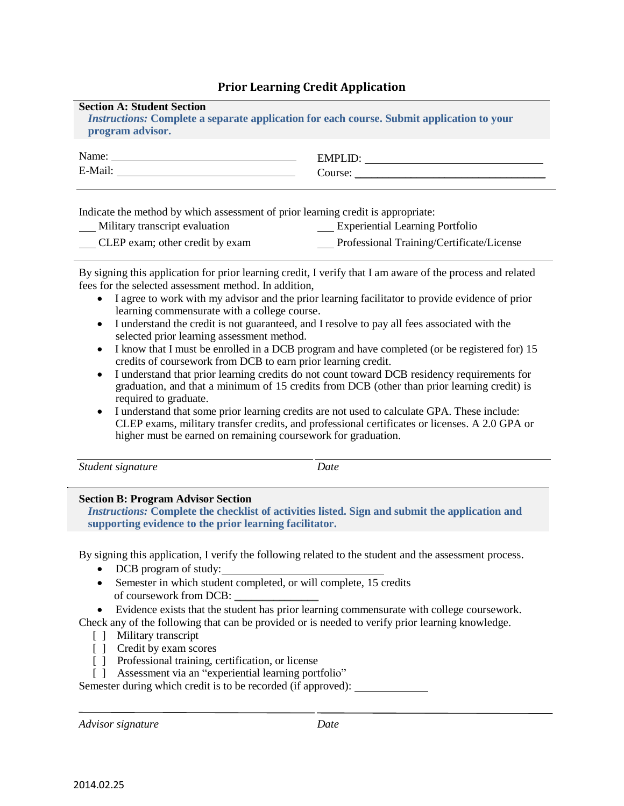## **Prior Learning Credit Application**

## **Section A: Student Section**

*Instructions:* **Complete a separate application for each course. Submit application to your program advisor.**

| Name:   | <b>EMPI</b> |
|---------|-------------|
| E-Mail: | Course:     |

Indicate the method by which assessment of prior learning credit is appropriate:

| Military transcript evaluation  | <b>Experiential Learning Portfolio</b>    |
|---------------------------------|-------------------------------------------|
| CLEP exam; other credit by exam | Professional Training/Certificate/License |

By signing this application for prior learning credit, I verify that I am aware of the process and related fees for the selected assessment method. In addition,

- I agree to work with my advisor and the prior learning facilitator to provide evidence of prior learning commensurate with a college course.
- I understand the credit is not guaranteed, and I resolve to pay all fees associated with the selected prior learning assessment method.
- I know that I must be enrolled in a DCB program and have completed (or be registered for) 15 credits of coursework from DCB to earn prior learning credit.
- I understand that prior learning credits do not count toward DCB residency requirements for graduation, and that a minimum of 15 credits from DCB (other than prior learning credit) is required to graduate.
- I understand that some prior learning credits are not used to calculate GPA. These include: CLEP exams, military transfer credits, and professional certificates or licenses. A 2.0 GPA or higher must be earned on remaining coursework for graduation.

*Student signature Date*

## **Section B: Program Advisor Section**

*Instructions:* **Complete the checklist of activities listed. Sign and submit the application and supporting evidence to the prior learning facilitator.**

By signing this application, I verify the following related to the student and the assessment process.

- DCB program of study:
- Semester in which student completed, or will complete, 15 credits of coursework from DCB: \_\_\_\_\_\_\_\_\_\_\_\_\_\_\_
- Evidence exists that the student has prior learning commensurate with college coursework.

Check any of the following that can be provided or is needed to verify prior learning knowledge.

- [ ] Military transcript
- [ ] Credit by exam scores
- [ ] Professional training, certification, or license
- [ ] Assessment via an "experiential learning portfolio"

Semester during which credit is to be recorded (if approved): \_\_\_\_\_\_\_\_\_\_\_\_\_\_\_\_\_\_

*Advisor signature Date*